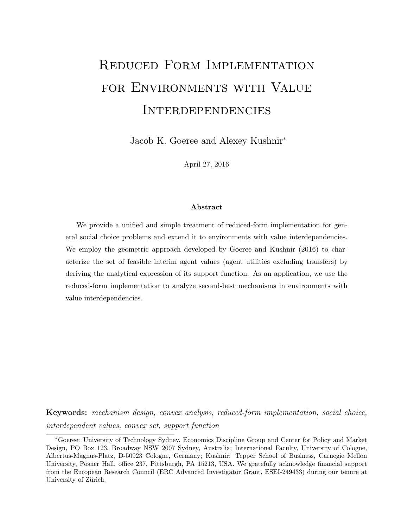# Reduced Form Implementation FOR ENVIRONMENTS WITH VALUE Interdependencies

Jacob K. Goeree and Alexey Kushnir<sup>∗</sup>

April 27, 2016

#### Abstract

We provide a unified and simple treatment of reduced-form implementation for general social choice problems and extend it to environments with value interdependencies. We employ the geometric approach developed by Goeree and Kushnir (2016) to characterize the set of feasible interim agent values (agent utilities excluding transfers) by deriving the analytical expression of its support function. As an application, we use the reduced-form implementation to analyze second-best mechanisms in environments with value interdependencies.

Keywords: mechanism design, convex analysis, reduced-form implementation, social choice, interdependent values, convex set, support function

<sup>∗</sup>Goeree: University of Technology Sydney, Economics Discipline Group and Center for Policy and Market Design, PO Box 123, Broadway NSW 2007 Sydney, Australia; International Faculty, University of Cologne, Albertus-Magnus-Platz, D-50923 Cologne, Germany; Kushnir: Tepper School of Business, Carnegie Mellon University, Posner Hall, office 237, Pittsburgh, PA 15213, USA. We gratefully acknowledge financial support from the European Research Council (ERC Advanced Investigator Grant, ESEI-249433) during our tenure at University of Zürich.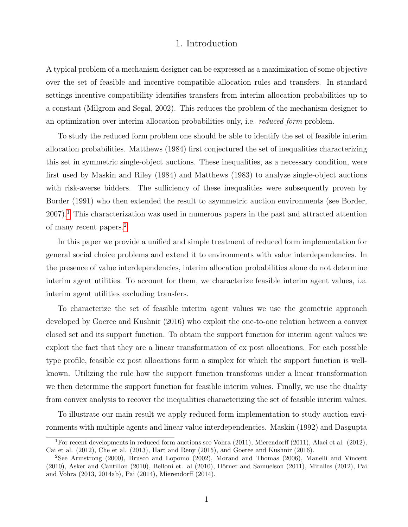# 1. Introduction

A typical problem of a mechanism designer can be expressed as a maximization of some objective over the set of feasible and incentive compatible allocation rules and transfers. In standard settings incentive compatibility identifies transfers from interim allocation probabilities up to a constant (Milgrom and Segal, 2002). This reduces the problem of the mechanism designer to an optimization over interim allocation probabilities only, i.e. reduced form problem.

To study the reduced form problem one should be able to identify the set of feasible interim allocation probabilities. Matthews (1984) first conjectured the set of inequalities characterizing this set in symmetric single-object auctions. These inequalities, as a necessary condition, were first used by Maskin and Riley (1984) and Matthews (1983) to analyze single-object auctions with risk-averse bidders. The sufficiency of these inequalities were subsequently proven by Border (1991) who then extended the result to asymmetric auction environments (see Border,  $2007$ ).<sup>[1](#page-1-0)</sup> This characterization was used in numerous papers in the past and attracted attention of many recent papers.[2](#page-1-1)

In this paper we provide a unified and simple treatment of reduced form implementation for general social choice problems and extend it to environments with value interdependencies. In the presence of value interdependencies, interim allocation probabilities alone do not determine interim agent utilities. To account for them, we characterize feasible interim agent values, i.e. interim agent utilities excluding transfers.

To characterize the set of feasible interim agent values we use the geometric approach developed by Goeree and Kushnir (2016) who exploit the one-to-one relation between a convex closed set and its support function. To obtain the support function for interim agent values we exploit the fact that they are a linear transformation of ex post allocations. For each possible type profile, feasible ex post allocations form a simplex for which the support function is wellknown. Utilizing the rule how the support function transforms under a linear transformation we then determine the support function for feasible interim values. Finally, we use the duality from convex analysis to recover the inequalities characterizing the set of feasible interim values.

To illustrate our main result we apply reduced form implementation to study auction environments with multiple agents and linear value interdependencies. Maskin (1992) and Dasgupta

<span id="page-1-0"></span><sup>&</sup>lt;sup>1</sup>For recent developments in reduced form auctions see Vohra (2011), Mierendorff (2011), Alaei et al. (2012), Cai et al. (2012), Che et al. (2013), Hart and Reny (2015), and Goeree and Kushnir (2016).

<span id="page-1-1"></span><sup>2</sup>See Armstrong (2000), Brusco and Lopomo (2002), Morand and Thomas (2006), Manelli and Vincent  $(2010)$ , Asker and Cantillon  $(2010)$ , Belloni et. al  $(2010)$ , Hörner and Samuelson  $(2011)$ , Miralles  $(2012)$ , Pai and Vohra (2013, 2014ab), Pai (2014), Mierendorff (2014).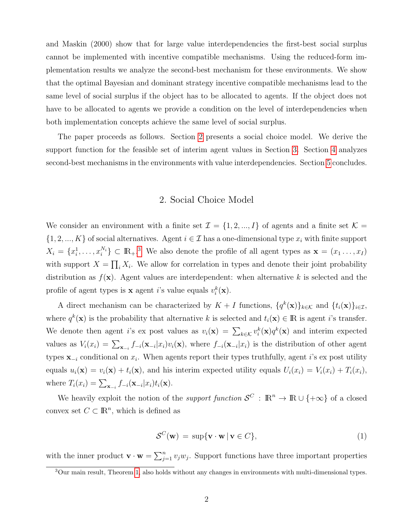and Maskin (2000) show that for large value interdependencies the first-best social surplus cannot be implemented with incentive compatible mechanisms. Using the reduced-form implementation results we analyze the second-best mechanism for these environments. We show that the optimal Bayesian and dominant strategy incentive compatible mechanisms lead to the same level of social surplus if the object has to be allocated to agents. If the object does not have to be allocated to agents we provide a condition on the level of interdependencies when both implementation concepts achieve the same level of social surplus.

The paper proceeds as follows. Section [2](#page-2-0) presents a social choice model. We derive the support function for the feasible set of interim agent values in Section [3.](#page-3-0) Section [4](#page-5-0) analyzes second-best mechanisms in the environments with value interdependencies. Section [5](#page-9-0) concludes.

#### 2. Social Choice Model

<span id="page-2-0"></span>We consider an environment with a finite set  $\mathcal{I} = \{1, 2, ..., I\}$  of agents and a finite set  $\mathcal{K} =$  $\{1, 2, ..., K\}$  of social alternatives. Agent  $i \in \mathcal{I}$  has a one-dimensional type  $x_i$  with finite support  $X_i = \{x_i^1, \ldots, x_i^{N_i}\} \subset \mathbb{R}_+$ .<sup>[3](#page-2-1)</sup> We also denote the profile of all agent types as  $\mathbf{x} = (x_1, \ldots, x_I)$ with support  $X = \prod_i X_i$ . We allow for correlation in types and denote their joint probability distribution as  $f(\mathbf{x})$ . Agent values are interdependent: when alternative k is selected and the profile of agent types is **x** agent *i*'s value equals  $v_i^k(\mathbf{x})$ .

A direct mechanism can be characterized by  $K + I$  functions,  $\{q^k(\mathbf{x})\}_{k \in \mathcal{K}}$  and  $\{t_i(\mathbf{x})\}_{i \in \mathcal{I}}$ , where  $q^k(\mathbf{x})$  is the probability that alternative k is selected and  $t_i(\mathbf{x}) \in \mathbb{R}$  is agent *i*'s transfer. We denote then agent *i*'s ex post values as  $v_i(\mathbf{x}) = \sum_{k \in \mathcal{K}} v_i^k(\mathbf{x}) q^k(\mathbf{x})$  and interim expected values as  $V_i(x_i) = \sum_{\mathbf{x}_{-i}} f_{-i}(\mathbf{x}_{-i}|x_i)v_i(\mathbf{x})$ , where  $f_{-i}(\mathbf{x}_{-i}|x_i)$  is the distribution of other agent types  $\mathbf{x}_{-i}$  conditional on  $x_i$ . When agents report their types truthfully, agent i's ex post utility equals  $u_i(\mathbf{x}) = v_i(\mathbf{x}) + t_i(\mathbf{x})$ , and his interim expected utility equals  $U_i(x_i) = V_i(x_i) + T_i(x_i)$ , where  $T_i(x_i) = \sum_{\mathbf{x}_{-i}} f_{-i}(\mathbf{x}_{-i}|x_i) t_i(\mathbf{x}).$ 

We heavily exploit the notion of the *support function*  $\mathcal{S}^C$  :  $\mathbb{R}^n \to \mathbb{R} \cup \{+\infty\}$  of a closed convex set  $C \subset \mathbb{R}^n$ , which is defined as

<span id="page-2-2"></span>
$$
S^{C}(\mathbf{w}) = \sup \{ \mathbf{v} \cdot \mathbf{w} \mid \mathbf{v} \in C \},
$$
\n(1)

with the inner product  $\mathbf{v} \cdot \mathbf{w} = \sum_{j=1}^n v_j w_j$ . Support functions have three important properties

<span id="page-2-1"></span><sup>3</sup>Our main result, Theorem [1,](#page-5-1) also holds without any changes in environments with multi-dimensional types.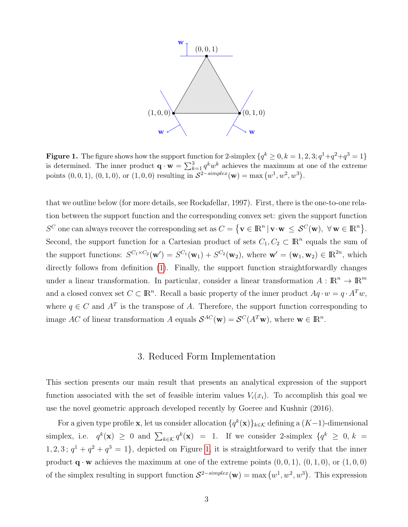

<span id="page-3-1"></span>**Figure 1.** The figure shows how the support function for 2-simplex  $\{q^k \geq 0, k = 1, 2, 3; q^1 + q^2 + q^3 = 1\}$ is determined. The inner product  $\mathbf{q} \cdot \mathbf{w} = \sum_{k=1}^{3} q^k w^k$  achieves the maximum at one of the extreme points  $(0,0,1), (0,1,0),$  or  $(1,0,0)$  resulting in  $S^{2-simplex}(\mathbf{w}) = \max(w^1, w^2, w^3)$ .

that we outline below (for more details, see Rockafellar, 1997). First, there is the one-to-one relation between the support function and the corresponding convex set: given the support function  $S^C$  one can always recover the corresponding set as  $C = \{ \mathbf{v} \in \mathbb{R}^n \mid \mathbf{v} \cdot \mathbf{w} \leq S^C(\mathbf{w}), \forall \mathbf{w} \in \mathbb{R}^n \}.$ Second, the support function for a Cartesian product of sets  $C_1, C_2 \subset \mathbb{R}^n$  equals the sum of the support functions:  $S^{C_1 \times C_2}(\mathbf{w}') = S^{C_1}(\mathbf{w}_1) + S^{C_2}(\mathbf{w}_2)$ , where  $\mathbf{w}' = (\mathbf{w}_1, \mathbf{w}_2) \in \mathbb{R}^{2n}$ , which directly follows from definition [\(1\)](#page-2-2). Finally, the support function straightforwardly changes under a linear transformation. In particular, consider a linear transformation  $A: \mathbb{R}^n \to \mathbb{R}^m$ and a closed convex set  $C \subset \mathbb{R}^n$ . Recall a basic property of the inner product  $Aq \cdot w = q \cdot A^T w$ , where  $q \in C$  and  $A<sup>T</sup>$  is the transpose of A. Therefore, the support function corresponding to image AC of linear transformation A equals  $\mathcal{S}^{AC}(\mathbf{w}) = \mathcal{S}^{C}(A^{T}\mathbf{w})$ , where  $\mathbf{w} \in \mathbb{R}^{n}$ .

### 3. Reduced Form Implementation

<span id="page-3-0"></span>This section presents our main result that presents an analytical expression of the support function associated with the set of feasible interim values  $V_i(x_i)$ . To accomplish this goal we use the novel geometric approach developed recently by Goeree and Kushnir (2016).

For a given type profile **x**, let us consider allocation  $\{q^k(\mathbf{x})\}_{k\in\mathcal{K}}$  defining a  $(K-1)$ -dimensional simplex, i.e.  $q^k(\mathbf{x}) \geq 0$  and  $\sum_{k \in \mathcal{K}} q^k(\mathbf{x}) = 1$ . If we consider 2-simplex  $\{q^k \geq 0, k = 1\}$  $1, 2, 3$ ;  $q<sup>1</sup> + q<sup>2</sup> + q<sup>3</sup> = 1$ , depicted on Figure [1,](#page-3-1) it is straightforward to verify that the inner product  $\mathbf{q} \cdot \mathbf{w}$  achieves the maximum at one of the extreme points  $(0, 0, 1)$ ,  $(0, 1, 0)$ , or  $(1, 0, 0)$ of the simplex resulting in support function  $S^{2-simplex}(w) = \max(w^1, w^2, w^3)$ . This expression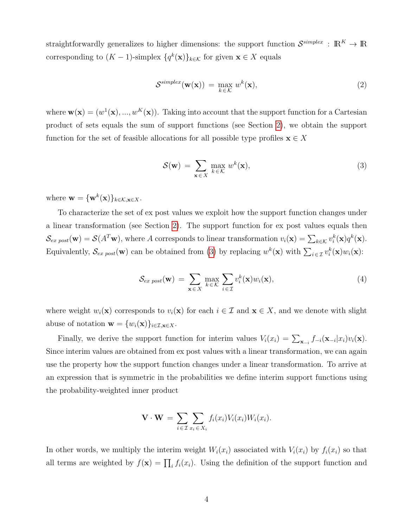straightforwardly generalizes to higher dimensions: the support function  $\mathcal{S}^{simplex}$  :  $\mathbb{R}^K \to \mathbb{R}$ corresponding to  $(K-1)$ -simplex  $\{q^k(\mathbf{x})\}_{k\in\mathcal{K}}$  for given  $\mathbf{x}\in X$  equals

$$
\mathcal{S}^{\text{simplex}}(\mathbf{w}(\mathbf{x})) = \max_{k \in \mathcal{K}} w^k(\mathbf{x}), \tag{2}
$$

where  $\mathbf{w}(\mathbf{x}) = (w^1(\mathbf{x}), ..., w^K(\mathbf{x}))$ . Taking into account that the support function for a Cartesian product of sets equals the sum of support functions (see Section [2\)](#page-2-0), we obtain the support function for the set of feasible allocations for all possible type profiles  $\mathbf{x} \in X$ 

<span id="page-4-0"></span>
$$
\mathcal{S}(\mathbf{w}) = \sum_{\mathbf{x} \in X} \max_{k \in \mathcal{K}} w^k(\mathbf{x}),
$$
\n(3)

where  $\mathbf{w} = {\mathbf{w}^k(\mathbf{x})}_{k \in \mathcal{K}, \mathbf{x} \in X}$ .

To characterize the set of ex post values we exploit how the support function changes under a linear transformation (see Section [2\)](#page-2-0). The support function for ex post values equals then  $\mathcal{S}_{ex\ post}(\mathbf{w}) = \mathcal{S}(A^T\mathbf{w})$ , where A corresponds to linear transformation  $v_i(\mathbf{x}) = \sum_{k \in \mathcal{K}} v_i^k(\mathbf{x}) q^k(\mathbf{x})$ . Equivalently,  $S_{ex\ post}(\mathbf{w})$  can be obtained from [\(3\)](#page-4-0) by replacing  $w^k(\mathbf{x})$  with  $\sum_{i\in\mathcal{I}}v_i^k(\mathbf{x})w_i(\mathbf{x})$ :

<span id="page-4-1"></span>
$$
\mathcal{S}_{ex\ post}(\mathbf{w}) = \sum_{\mathbf{x} \in X} \max_{k \in \mathcal{K}} \sum_{i \in \mathcal{I}} v_i^k(\mathbf{x}) w_i(\mathbf{x}), \tag{4}
$$

where weight  $w_i(\mathbf{x})$  corresponds to  $v_i(\mathbf{x})$  for each  $i \in \mathcal{I}$  and  $\mathbf{x} \in X$ , and we denote with slight abuse of notation  $\mathbf{w} = \{w_i(\mathbf{x})\}_{i \in \mathcal{I}, \mathbf{x} \in X}$ .

Finally, we derive the support function for interim values  $V_i(x_i) = \sum_{\mathbf{x}_{-i}} f_{-i}(\mathbf{x}_{-i}|x_i)v_i(\mathbf{x}).$ Since interim values are obtained from ex post values with a linear transformation, we can again use the property how the support function changes under a linear transformation. To arrive at an expression that is symmetric in the probabilities we define interim support functions using the probability-weighted inner product

$$
\mathbf{V} \cdot \mathbf{W} = \sum_{i \in \mathcal{I}} \sum_{x_i \in X_i} f_i(x_i) V_i(x_i) W_i(x_i).
$$

In other words, we multiply the interim weight  $W_i(x_i)$  associated with  $V_i(x_i)$  by  $f_i(x_i)$  so that all terms are weighted by  $f(\mathbf{x}) = \prod_i f_i(x_i)$ . Using the definition of the support function and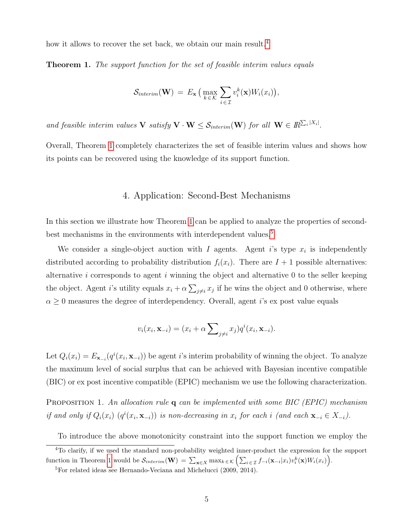how it allows to recover the set back, we obtain our main result.<sup>[4](#page-5-2)</sup>

<span id="page-5-1"></span>**Theorem 1.** The support function for the set of feasible interim values equals

$$
\mathcal{S}_{interim}(\mathbf{W}) = E_{\mathbf{x}} \left( \max_{k \in \mathcal{K}} \sum_{i \in \mathcal{I}} v_i^k(\mathbf{x}) W_i(x_i) \right),
$$

and feasible interim values  $V$  satisfy  $V \cdot W \leq S_{interim}(W)$  for all  $W \in \mathbb{R}^{\sum_i |X_i|}$ .

Overall, Theorem [1](#page-5-1) completely characterizes the set of feasible interim values and shows how its points can be recovered using the knowledge of its support function.

#### 4. Application: Second-Best Mechanisms

<span id="page-5-0"></span>In this section we illustrate how Theorem [1](#page-5-1) can be applied to analyze the properties of second-best mechanisms in the environments with interdependent values.<sup>[5](#page-5-3)</sup>

We consider a single-object auction with  $I$  agents. Agent i's type  $x_i$  is independently distributed according to probability distribution  $f_i(x_i)$ . There are  $I + 1$  possible alternatives: alternative  $i$  corresponds to agent  $i$  winning the object and alternative  $0$  to the seller keeping the object. Agent i's utility equals  $x_i + \alpha \sum_{j \neq i} x_j$  if he wins the object and 0 otherwise, where  $\alpha \geq 0$  measures the degree of interdependency. Overall, agent *i*'s ex post value equals

<span id="page-5-5"></span>
$$
v_i(x_i, \mathbf{x}_{-i}) = (x_i + \alpha \sum_{j \neq i} x_j) q^i(x_i, \mathbf{x}_{-i}).
$$

Let  $Q_i(x_i) = E_{\mathbf{x}_{-i}}(q^i(x_i, \mathbf{x}_{-i}))$  be agent i's interim probability of winning the object. To analyze the maximum level of social surplus that can be achieved with Bayesian incentive compatible (BIC) or ex post incentive compatible (EPIC) mechanism we use the following characterization.

<span id="page-5-4"></span>PROPOSITION 1. An allocation rule q can be implemented with some BIC (EPIC) mechanism if and only if  $Q_i(x_i)$   $(q^i(x_i, \mathbf{x}_{-i}))$  is non-decreasing in  $x_i$  for each i (and each  $\mathbf{x}_{-i} \in X_{-i}$ ).

To introduce the above monotonicity constraint into the support function we employ the

<span id="page-5-2"></span><sup>&</sup>lt;sup>4</sup>To clarify, if we used the standard non-probability weighted inner-product the expression for the support function in Theorem [1](#page-5-1) would be  $\mathcal{S}_{interim}(\mathbf{W}) = \sum_{\mathbf{x} \in X} \max_{k \in \mathcal{K}} \left( \sum_{i \in \mathcal{I}} f_{-i}(\mathbf{x}_{-i} | x_i) v_i^k(\mathbf{x}) W_i(x_i) \right)$ .

<span id="page-5-3"></span> ${}^{5}$ For related ideas see Hernando-Veciana and Michelucci (2009, 2014).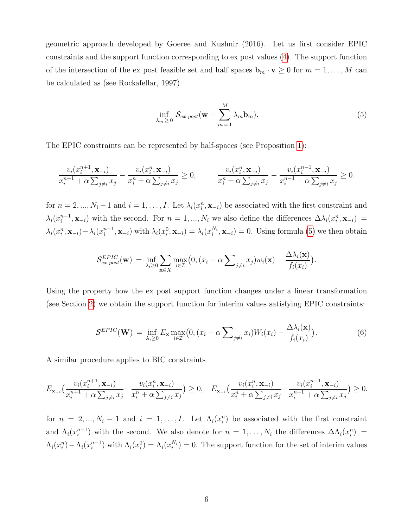geometric approach developed by Goeree and Kushnir (2016). Let us first consider EPIC constraints and the support function corresponding to ex post values [\(4\)](#page-4-1). The support function of the intersection of the ex post feasible set and half spaces  $\mathbf{b}_m \cdot \mathbf{v} \geq 0$  for  $m = 1, \ldots, M$  can be calculated as (see Rockafellar, 1997)

$$
\inf_{\lambda_m \geq 0} \mathcal{S}_{ex\ post}(\mathbf{w} + \sum_{m=1}^M \lambda_m \mathbf{b}_m). \tag{5}
$$

The EPIC constraints can be represented by half-spaces (see Proposition [1\)](#page-5-4):

<span id="page-6-0"></span>
$$
\frac{v_i(x_i^{n+1}, \mathbf{x}_{-i})}{x_i^{n+1} + \alpha \sum_{j \neq i} x_j} - \frac{v_i(x_i^n, \mathbf{x}_{-i})}{x_i^n + \alpha \sum_{j \neq i} x_j} \ge 0, \qquad \frac{v_i(x_i^n, \mathbf{x}_{-i})}{x_i^n + \alpha \sum_{j \neq i} x_j} - \frac{v_i(x_i^{n-1}, \mathbf{x}_{-i})}{x_i^{n-1} + \alpha \sum_{j \neq i} x_j} \ge 0.
$$

for  $n = 2, ..., N_i - 1$  and  $i = 1, ..., I$ . Let  $\lambda_i(x_i^n, \mathbf{x}_{-i})$  be associated with the first constraint and  $\lambda_i(x_i^{n-1})$  $i^{n-1}, \mathbf{x}_{-i}$  with the second. For  $n = 1, ..., N_i$  we also define the differences  $\Delta \lambda_i(x_i^n, \mathbf{x}_{-i}) =$  $\lambda_i(x_i^n, \mathbf{x}_{-i}) - \lambda_i(x_i^{n-1})$  $\lambda_i^{n-1}, \mathbf{x}_{-i}$ ) with  $\lambda_i(x_i^0, \mathbf{x}_{-i}) = \lambda_i(x_i^{N_i}, \mathbf{x}_{-i}) = 0$ . Using formula [\(5\)](#page-5-5) we then obtain

$$
\mathcal{S}_{ex\ post}^{EPIC}(\mathbf{w}) = \inf_{\lambda_i \geq 0} \sum_{\mathbf{x} \in X} \max_{i \in \mathcal{I}} \bigl(0, (x_i + \alpha \sum_{j \neq i} x_j) w_i(\mathbf{x}) - \frac{\Delta \lambda_i(\mathbf{x})}{f_i(x_i)}\bigr).
$$

Using the property how the ex post support function changes under a linear transformation (see Section [2\)](#page-2-0) we obtain the support function for interim values satisfying EPIC constraints:

$$
\mathcal{S}^{EPIC}(\mathbf{W}) = \inf_{\lambda_i \ge 0} E_{\mathbf{x}} \max_{i \in \mathcal{I}} \big( 0, (x_i + \alpha \sum_{j \ne i} x_i) W_i(x_i) - \frac{\Delta \lambda_i(\mathbf{x})}{f_i(x_i)} \big).
$$
(6)

A similar procedure applies to BIC constraints

<span id="page-6-1"></span>
$$
E_{\mathbf{x}_{-i}}\left(\frac{v_i(x_i^{n+1}, \mathbf{x}_{-i})}{x_i^{n+1} + \alpha \sum_{j \neq i} x_j} - \frac{v_i(x_i^n, \mathbf{x}_{-i})}{x_i^n + \alpha \sum_{j \neq i} x_j}\right) \ge 0, \quad E_{\mathbf{x}_{-i}}\left(\frac{v_i(x_i^n, \mathbf{x}_{-i})}{x_i^n + \alpha \sum_{j \neq i} x_j} - \frac{v_i(x_i^{n-1}, \mathbf{x}_{-i})}{x_i^{n-1} + \alpha \sum_{j \neq i} x_j}\right) \ge 0.
$$

for  $n = 2, ..., N_i - 1$  and  $i = 1, ..., I$ . Let  $\Lambda_i(x_i^n)$  be associated with the first constraint and  $\Lambda_i(x_i^{n-1})$  $i^{n-1}$ ) with the second. We also denote for  $n = 1, ..., N_i$  the differences  $\Delta\Lambda_i(x_i^n)$  =  $\Lambda_i(x_i^n) - \Lambda_i(x_i^{n-1})$  $i^{n-1}$ ) with  $\Lambda_i(x_i^0) = \Lambda_i(x_i^{N_i}) = 0$ . The support function for the set of interim values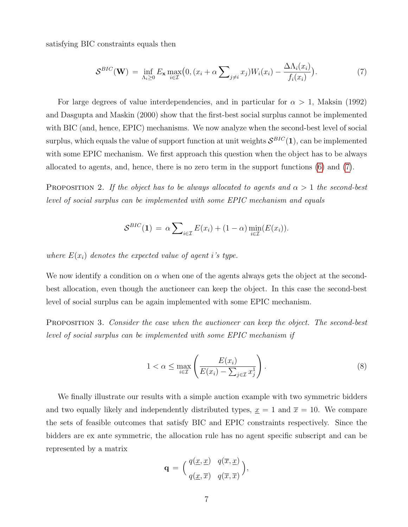satisfying BIC constraints equals then

$$
S^{BIC}(\mathbf{W}) = \inf_{\Lambda_i \ge 0} E_{\mathbf{x}} \max_{i \in \mathcal{I}} \big( 0, (x_i + \alpha \sum_{j \ne i} x_j) W_i(x_i) - \frac{\Delta \Lambda_i(x_i)}{f_i(x_i)} \big). \tag{7}
$$

For large degrees of value interdependencies, and in particular for  $\alpha > 1$ , Maksin (1992) and Dasgupta and Maskin (2000) show that the first-best social surplus cannot be implemented with BIC (and, hence, EPIC) mechanisms. We now analyze when the second-best level of social surplus, which equals the value of support function at unit weights  $\mathcal{S}^{BIC}(1)$ , can be implemented with some EPIC mechanism. We first approach this question when the object has to be always allocated to agents, and, hence, there is no zero term in the support functions [\(6\)](#page-6-0) and [\(7\)](#page-6-1).

<span id="page-7-0"></span>PROPOSITION 2. If the object has to be always allocated to agents and  $\alpha > 1$  the second-best level of social surplus can be implemented with some EPIC mechanism and equals

<span id="page-7-2"></span>
$$
\mathcal{S}^{BIC}(\mathbf{1}) = \alpha \sum_{i \in \mathcal{I}} E(x_i) + (1 - \alpha) \min_{i \in \mathcal{I}} (E(x_i)).
$$

where  $E(x_i)$  denotes the expected value of agent i's type.

We now identify a condition on  $\alpha$  when one of the agents always gets the object at the secondbest allocation, even though the auctioneer can keep the object. In this case the second-best level of social surplus can be again implemented with some EPIC mechanism.

<span id="page-7-1"></span>PROPOSITION 3. Consider the case when the auctioneer can keep the object. The second-best level of social surplus can be implemented with some EPIC mechanism if

$$
1 < \alpha \le \max_{i \in \mathcal{I}} \left( \frac{E(x_i)}{E(x_i) - \sum_{j \in \mathcal{I}} x_j^1} \right). \tag{8}
$$

We finally illustrate our results with a simple auction example with two symmetric bidders and two equally likely and independently distributed types,  $x = 1$  and  $\bar{x} = 10$ . We compare the sets of feasible outcomes that satisfy BIC and EPIC constraints respectively. Since the bidders are ex ante symmetric, the allocation rule has no agent specific subscript and can be represented by a matrix

$$
\mathbf{q} = \begin{pmatrix} q(\underline{x}, \underline{x}) & q(\overline{x}, \underline{x}) \\ q(\underline{x}, \overline{x}) & q(\overline{x}, \overline{x}) \end{pmatrix},
$$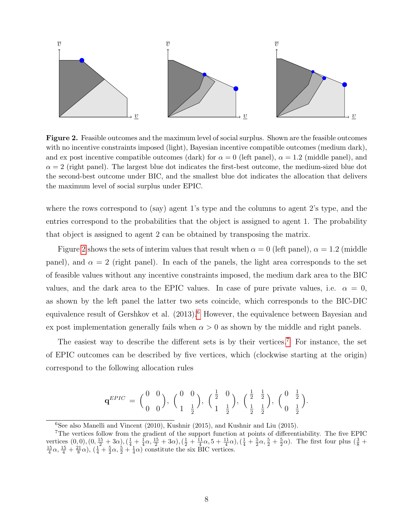

<span id="page-8-0"></span>**Figure 2.** Feasible outcomes and the maximum level of social surplus. Shown are the feasible outcomes with no incentive constraints imposed (light), Bayesian incentive compatible outcomes (medium dark), and ex post incentive compatible outcomes (dark) for  $\alpha = 0$  (left panel),  $\alpha = 1.2$  (middle panel), and  $\alpha = 2$  (right panel). The largest blue dot indicates the first-best outcome, the medium-sized blue dot the second-best outcome under BIC, and the smallest blue dot indicates the allocation that delivers the maximum level of social surplus under EPIC.

where the rows correspond to (say) agent 1's type and the columns to agent 2's type, and the entries correspond to the probabilities that the object is assigned to agent 1. The probability that object is assigned to agent 2 can be obtained by transposing the matrix.

Figure [2](#page-8-0) shows the sets of interim values that result when  $\alpha = 0$  (left panel),  $\alpha = 1.2$  (middle panel), and  $\alpha = 2$  (right panel). In each of the panels, the light area corresponds to the set of feasible values without any incentive constraints imposed, the medium dark area to the BIC values, and the dark area to the EPIC values. In case of pure private values, i.e.  $\alpha = 0$ , as shown by the left panel the latter two sets coincide, which corresponds to the BIC-DIC equivalence result of Gershkov et al. (2013).<sup>[6](#page-8-1)</sup> However, the equivalence between Bayesian and ex post implementation generally fails when  $\alpha > 0$  as shown by the middle and right panels.

The easiest way to describe the different sets is by their vertices.<sup>[7](#page-8-2)</sup> For instance, the set of EPIC outcomes can be described by five vertices, which (clockwise starting at the origin) correspond to the following allocation rules

$$
\mathbf{q}^{EPIC} = \begin{pmatrix} 0 & 0 \\ 0 & 0 \end{pmatrix}, \begin{pmatrix} 0 & 0 \\ 1 & \frac{1}{2} \end{pmatrix}, \begin{pmatrix} \frac{1}{2} & 0 \\ 1 & \frac{1}{2} \end{pmatrix}, \begin{pmatrix} \frac{1}{2} & \frac{1}{2} \\ \frac{1}{2} & \frac{1}{2} \end{pmatrix}, \begin{pmatrix} 0 & \frac{1}{2} \\ 0 & \frac{1}{2} \end{pmatrix}.
$$

<span id="page-8-2"></span><span id="page-8-1"></span> $6$ See also Manelli and Vincent (2010), Kushnir (2015), and Kushnir and Liu (2015).

<sup>7</sup>The vertices follow from the gradient of the support function at points of differentiability. The five EPIC vertices  $(0,0), (0, \frac{15}{2} + 3\alpha), (\frac{1}{4} + \frac{1}{4}\alpha, \frac{15}{2} + 3\alpha), (\frac{1}{2} + \frac{11}{4}\alpha, 5 + \frac{11}{4}\alpha), (\frac{1}{4} + \frac{5}{2}\alpha, \frac{5}{2} + \frac{5}{2}\alpha)$ . The first four plus  $(\frac{3}{8} + \frac{15}{4}\alpha, \frac{15}{4} + \frac{21}{8}\alpha), (\frac{1}{4} + \frac{5}{2}\alpha, \frac{5}{2} + \frac{1}{4}\$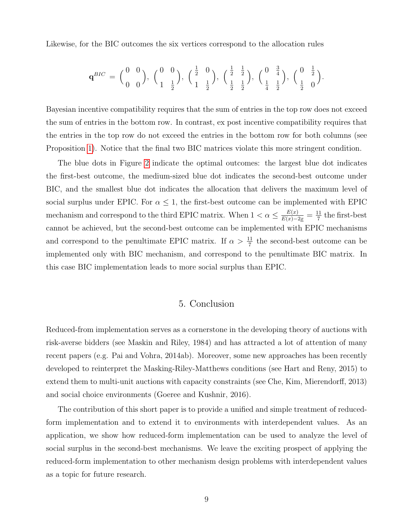Likewise, for the BIC outcomes the six vertices correspond to the allocation rules

$$
\mathbf{q}^{BIC} = \begin{pmatrix} 0 & 0 \\ 0 & 0 \end{pmatrix}, \begin{pmatrix} 0 & 0 \\ 1 & \frac{1}{2} \end{pmatrix}, \begin{pmatrix} \frac{1}{2} & 0 \\ 1 & \frac{1}{2} \end{pmatrix}, \begin{pmatrix} \frac{1}{2} & \frac{1}{2} \\ \frac{1}{2} & \frac{1}{2} \end{pmatrix}, \begin{pmatrix} 0 & \frac{3}{4} \\ \frac{1}{4} & \frac{1}{2} \end{pmatrix}, \begin{pmatrix} 0 & \frac{1}{2} \\ \frac{1}{2} & 0 \end{pmatrix}.
$$

Bayesian incentive compatibility requires that the sum of entries in the top row does not exceed the sum of entries in the bottom row. In contrast, ex post incentive compatibility requires that the entries in the top row do not exceed the entries in the bottom row for both columns (see Proposition [1\)](#page-5-4). Notice that the final two BIC matrices violate this more stringent condition.

The blue dots in Figure [2](#page-8-0) indicate the optimal outcomes: the largest blue dot indicates the first-best outcome, the medium-sized blue dot indicates the second-best outcome under BIC, and the smallest blue dot indicates the allocation that delivers the maximum level of social surplus under EPIC. For  $\alpha \leq 1$ , the first-best outcome can be implemented with EPIC mechanism and correspond to the third EPIC matrix. When  $1 < \alpha \leq \frac{E(x)}{E(x)-2x} = \frac{11}{7}$  $\frac{11}{7}$  the first-best cannot be achieved, but the second-best outcome can be implemented with EPIC mechanisms and correspond to the penultimate EPIC matrix. If  $\alpha > \frac{11}{7}$  the second-best outcome can be implemented only with BIC mechanism, and correspond to the penultimate BIC matrix. In this case BIC implementation leads to more social surplus than EPIC.

#### 5. Conclusion

<span id="page-9-0"></span>Reduced-from implementation serves as a cornerstone in the developing theory of auctions with risk-averse bidders (see Maskin and Riley, 1984) and has attracted a lot of attention of many recent papers (e.g. Pai and Vohra, 2014ab). Moreover, some new approaches has been recently developed to reinterpret the Masking-Riley-Matthews conditions (see Hart and Reny, 2015) to extend them to multi-unit auctions with capacity constraints (see Che, Kim, Mierendorff, 2013) and social choice environments (Goeree and Kushnir, 2016).

The contribution of this short paper is to provide a unified and simple treatment of reducedform implementation and to extend it to environments with interdependent values. As an application, we show how reduced-form implementation can be used to analyze the level of social surplus in the second-best mechanisms. We leave the exciting prospect of applying the reduced-form implementation to other mechanism design problems with interdependent values as a topic for future research.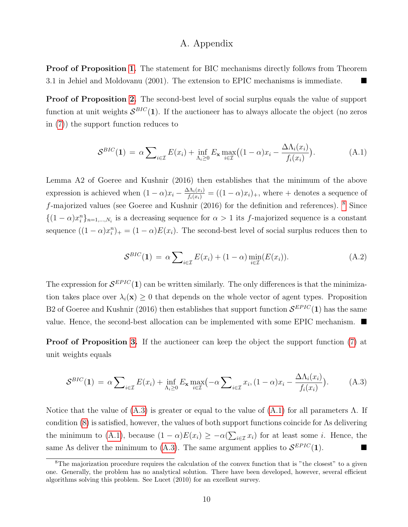## A. Appendix

Proof of Proposition [1.](#page-5-4) The statement for BIC mechanisms directly follows from Theorem 3.1 in Jehiel and Moldovanu (2001). The extension to EPIC mechanisms is immediate.

Proof of Proposition [2.](#page-7-0) The second-best level of social surplus equals the value of support function at unit weights  $S^{BIC}(1)$ . If the auctioneer has to always allocate the object (no zeros in [\(7\)](#page-6-1)) the support function reduces to

<span id="page-10-2"></span>
$$
S^{BIC}(\mathbf{1}) = \alpha \sum_{i \in \mathcal{I}} E(x_i) + \inf_{\Lambda_i \ge 0} E_{\mathbf{x}} \max_{i \in \mathcal{I}} \big( (1 - \alpha) x_i - \frac{\Delta \Lambda_i(x_i)}{f_i(x_i)} \big).
$$
(A.1)

Lemma A2 of Goeree and Kushnir (2016) then establishes that the minimum of the above expression is achieved when  $(1 - \alpha)x_i - \frac{\Delta \Lambda_i(x_i)}{f_i(x_i)} = ((1 - \alpha)x_i)_+,$  where + denotes a sequence of  $f$ -majorized values (see Goeree and Kushnir (2016) for the definition and references).  $8$  Since  $\{(1-\alpha)x_i^n\}_{n=1,\dots,N_i}$  is a decreasing sequence for  $\alpha>1$  its f-majorized sequence is a constant sequence  $((1 - \alpha)x_i^n)_+ = (1 - \alpha)E(x_i)$ . The second-best level of social surplus reduces then to

$$
S^{BIC}(\mathbf{1}) = \alpha \sum_{i \in \mathcal{I}} E(x_i) + (1 - \alpha) \min_{i \in \mathcal{I}} (E(x_i)). \tag{A.2}
$$

The expression for  $\mathcal{S}^{EPIC}(1)$  can be written similarly. The only differences is that the minimization takes place over  $\lambda_i(\mathbf{x}) \geq 0$  that depends on the whole vector of agent types. Proposition B2 of Goeree and Kushnir (2016) then establishes that support function  $\mathcal{S}^{EPIC}(1)$  has the same value. Hence, the second-best allocation can be implemented with some EPIC mechanism.  $\blacksquare$ 

**Proof of Proposition [3.](#page-7-1)** If the auctioneer can keep the object the support function [\(7\)](#page-6-1) at unit weights equals

<span id="page-10-1"></span>
$$
S^{BIC}(\mathbf{1}) = \alpha \sum_{i \in \mathcal{I}} E(x_i) + \inf_{\Lambda_i \ge 0} E_{\mathbf{x}} \max_{i \in \mathcal{I}} \left( -\alpha \sum_{i \in \mathcal{I}} x_i, (1 - \alpha) x_i - \frac{\Delta \Lambda_i(x_i)}{f_i(x_i)} \right).
$$
 (A.3)

Notice that the value of  $(A.3)$  is greater or equal to the value of  $(A.1)$  for all parameters  $\Lambda$ . If condition [\(8\)](#page-7-2) is satisfied, however, the values of both support functions coincide for Λs delivering the minimum to [\(A.1\)](#page-10-2), because  $(1 - \alpha)E(x_i) \geq -\alpha(\sum_{i \in \mathcal{I}} x_i)$  for at least some *i*. Hence, the same As deliver the minimum to [\(A.3\)](#page-10-1). The same argument applies to  $\mathcal{S}^{EPIC}(1)$ .

<span id="page-10-0"></span><sup>&</sup>lt;sup>8</sup>The majorization procedure requires the calculation of the convex function that is "the closest" to a given one. Generally, the problem has no analytical solution. There have been developed, however, several efficient algorithms solving this problem. See Lucet (2010) for an excellent survey.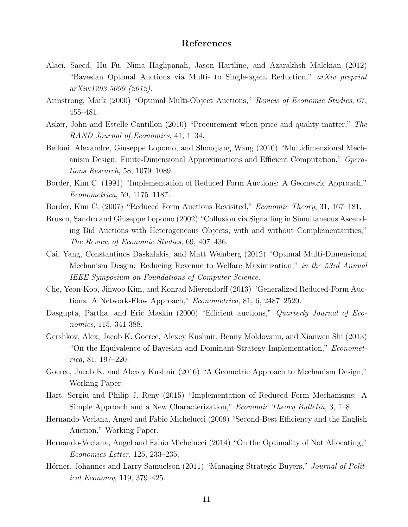# References

- Alaei, Saeed, Hu Fu, Nima Haghpanah, Jason Hartline, and Azarakhsh Malekian (2012) "Bayesian Optimal Auctions via Multi- to Single-agent Reduction," arXiv preprint arXiv:1203.5099 (2012).
- Armstrong, Mark (2000) "Optimal Multi-Object Auctions," Review of Economic Studies, 67, 455–481.
- Asker, John and Estelle Cantillon (2010) "Procurement when price and quality matter," The RAND Journal of Economics, 41, 1–34.
- Belloni, Alexandre, Giuseppe Lopomo, and Shouqiang Wang (2010) "Multidimensional Mechanism Design: Finite-Dimensional Approximations and Efficient Computation," Operations Research, 58, 1079–1089.
- Border, Kim C. (1991) "Implementation of Reduced Form Auctions: A Geometric Approach," Econometrica, 59, 1175–1187.
- Border, Kim C. (2007) "Reduced Form Auctions Revisited," *Economic Theory*, 31, 167–181.
- Brusco, Sandro and Giuseppe Lopomo (2002) "Collusion via Signalling in Simultaneous Ascending Bid Auctions with Heterogeneous Objects, with and without Complementarities," The Review of Economic Studies, 69, 407–436.
- Cai, Yang, Constantinos Daskalakis, and Matt Weinberg (2012) "Optimal Multi-Dimensional Mechanism Desgin: Reducing Revenue to Welfare Maximization," in the 53rd Annual IEEE Symposium on Foundations of Computer Science.
- Che, Yeon-Koo, Jinwoo Kim, and Konrad Mierendorff (2013) "Generalized Reduced-Form Auctions: A Network-Flow Approach," Econometrica, 81, 6, 2487–2520.
- Dasgupta, Partha, and Eric Maskin (2000) "Efficient auctions," Quarterly Journal of Economics, 115, 341-388.
- Gershkov, Alex, Jacob K. Goeree, Alexey Kushnir, Benny Moldovanu, and Xianwen Shi (2013) "On the Equivalence of Bayesian and Dominant-Strategy Implementation," Econometrica, 81, 197–220.
- Goeree, Jacob K. and Alexey Kushnir (2016) "A Geometric Approach to Mechanism Design," Working Paper.
- Hart, Sergiu and Philip J. Reny (2015) "Implementation of Reduced Form Mechanisms: A Simple Approach and a New Characterization," *Economic Theory Bulletin*, 3, 1–8.
- Hernando-Veciana, Angel and Fabio Michelucci (2009) "Second-Best Efficiency and the English Auction," Working Paper.
- Hernando-Veciana, Angel and Fabio Michelucci (2014) "On the Optimality of Not Allocating," Economics Letter, 125, 233–235.
- Hörner, Johannes and Larry Samuelson (2011) "Managing Strategic Buyers," Journal of Political Economy, 119, 379–425.